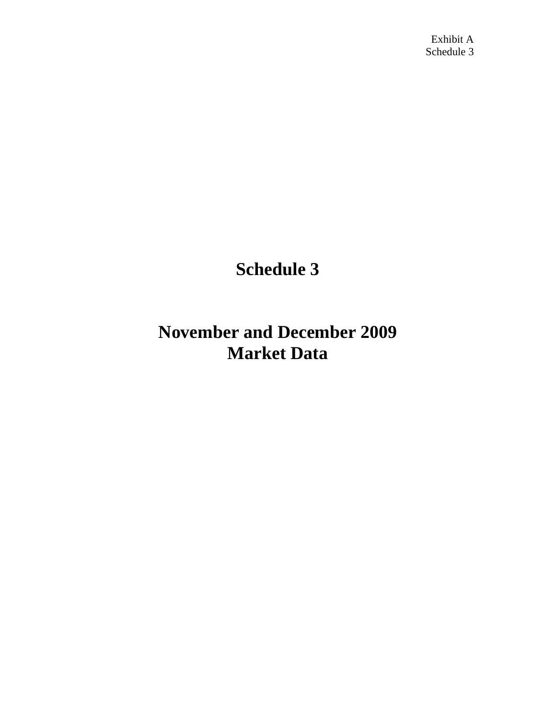# **Schedule 3**

## **November and December 2009 Market Data**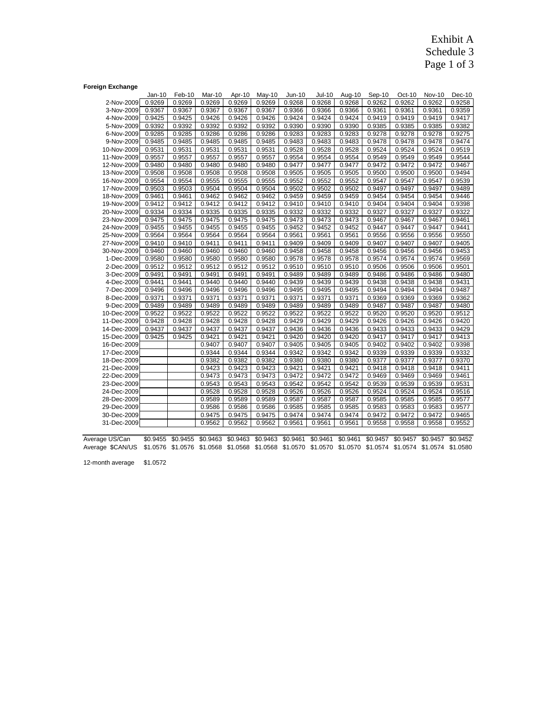### Exhibit A Schedule 3 Page 1 of 3

#### **Foreign Exchange**

| Mar-10<br>May-10<br>Jan-10<br>Feb-10<br>Apr-10<br>Jun-10<br>Jul-10<br>2-Nov-2009<br>0.9269<br>0.9269<br>0.9269<br>0.9269<br>0.9269<br>0.9268<br>0.9268<br>0.9367<br>0.9367<br>0.9367<br>0.9367<br>3-Nov-2009<br>0.9367<br>0.9366<br>0.9366<br>4-Nov-2009<br>0.9425<br>0.9425<br>0.9426<br>0.9426<br>0.9426<br>0.9424<br>0.9424<br>5-Nov-2009<br>0.9392<br>0.9392<br>0.9392<br>0.9392<br>0.9392<br>0.9390<br>0.9390<br>0.9285<br>0.9285<br>0.9286<br>0.9286<br>0.9286<br>0.9283<br>0.9283<br>6-Nov-2009 | Aug-10<br>0.9268<br>0.9366<br>0.9424<br>0.9390<br>0.9283<br>0.9483<br>0.9528 | Sep-10<br>0.9262<br>0.9361<br>0.9419<br>0.9385<br>0.9278 | Oct-10<br>0.9262<br>0.9361<br>0.9419<br>0.9385 | <b>Nov-10</b><br>0.9262<br>0.9361<br>0.9419 | Dec-10<br>0.9258<br>0.9359<br>0.9417 |
|--------------------------------------------------------------------------------------------------------------------------------------------------------------------------------------------------------------------------------------------------------------------------------------------------------------------------------------------------------------------------------------------------------------------------------------------------------------------------------------------------------|------------------------------------------------------------------------------|----------------------------------------------------------|------------------------------------------------|---------------------------------------------|--------------------------------------|
|                                                                                                                                                                                                                                                                                                                                                                                                                                                                                                        |                                                                              |                                                          |                                                |                                             |                                      |
|                                                                                                                                                                                                                                                                                                                                                                                                                                                                                                        |                                                                              |                                                          |                                                |                                             |                                      |
|                                                                                                                                                                                                                                                                                                                                                                                                                                                                                                        |                                                                              |                                                          |                                                |                                             |                                      |
|                                                                                                                                                                                                                                                                                                                                                                                                                                                                                                        |                                                                              |                                                          |                                                |                                             |                                      |
|                                                                                                                                                                                                                                                                                                                                                                                                                                                                                                        |                                                                              |                                                          |                                                | 0.9385                                      | 0.9382                               |
|                                                                                                                                                                                                                                                                                                                                                                                                                                                                                                        |                                                                              |                                                          | 0.9278                                         | 0.9278                                      | 0.9275                               |
| 0.9485<br>9-Nov-2009<br>0.9485<br>0.9485<br>0.9485<br>0.9485<br>0.9483<br>0.9483                                                                                                                                                                                                                                                                                                                                                                                                                       |                                                                              | 0.9478                                                   | 0.9478                                         | 0.9478                                      | 0.9474                               |
| 0.9531<br>0.9531<br>0.9531<br>0.9531<br>0.9528<br>0.9528<br>10-Nov-2009<br>0.9531                                                                                                                                                                                                                                                                                                                                                                                                                      |                                                                              | 0.9524                                                   | 0.9524                                         | 0.9524                                      | 0.9519                               |
| 0.9557<br>0.9557<br>0.9557<br>0.9557<br>0.9554<br>11-Nov-2009<br>0.9557<br>0.9554                                                                                                                                                                                                                                                                                                                                                                                                                      | 0.9554                                                                       | 0.9549                                                   | 0.9549                                         | 0.9549                                      | 0.9544                               |
| 0.9480<br>0.9480<br>12-Nov-2009<br>0.9480<br>0.9480<br>0.9480<br>0.9477<br>0.9477                                                                                                                                                                                                                                                                                                                                                                                                                      | 0.9477                                                                       | 0.9472                                                   | 0.9472                                         | 0.9472                                      | 0.9467                               |
| 13-Nov-2009<br>0.9508<br>0.9508<br>0.9508<br>0.9508<br>0.9508<br>0.9505<br>0.9505                                                                                                                                                                                                                                                                                                                                                                                                                      | 0.9505                                                                       | 0.9500                                                   | 0.9500                                         | 0.9500                                      | 0.9494                               |
| 0.9554<br>0.9554<br>0.9555<br>0.9555<br>0.9555<br>0.9552<br>0.9552<br>16-Nov-2009                                                                                                                                                                                                                                                                                                                                                                                                                      | 0.9552                                                                       | 0.9547                                                   | 0.9547                                         | 0.9547                                      | 0.9539                               |
| 17-Nov-2009<br>0.9503<br>0.9503<br>0.9504<br>0.9504<br>0.9504<br>0.9502<br>0.9502                                                                                                                                                                                                                                                                                                                                                                                                                      | 0.9502                                                                       | 0.9497                                                   | 0.9497                                         | 0.9497                                      | 0.9489                               |
| 0.9461<br>0.9462<br>0.9462<br>0.9462<br>0.9459<br>0.9459<br>18-Nov-2009<br>0.9461                                                                                                                                                                                                                                                                                                                                                                                                                      | 0.9459                                                                       | 0.9454                                                   | 0.9454                                         | 0.9454                                      | 0.9446                               |
| 0.9412<br>0.9412<br>0.9412<br>0.9412<br>0.9412<br>0.9410<br>0.9410<br>19-Nov-2009                                                                                                                                                                                                                                                                                                                                                                                                                      | 0.9410                                                                       | 0.9404                                                   | 0.9404                                         | 0.9404                                      | 0.9398                               |
| 0.9335<br>0.9335<br>0.9335<br>0.9332<br>20-Nov-2009<br>0.9334<br>0.9334<br>0.9332                                                                                                                                                                                                                                                                                                                                                                                                                      | 0.9332                                                                       | 0.9327                                                   | 0.9327                                         | 0.9327                                      | 0.9322                               |
| 0.9475<br>0.9475<br>0.9475<br>0.9473<br>0.9473<br>0.9475<br>0.9475<br>23-Nov-2009                                                                                                                                                                                                                                                                                                                                                                                                                      | 0.9473                                                                       | 0.9467                                                   | 0.9467                                         | 0.9467                                      | 0.9461                               |
| 24-Nov-2009<br>0.9455<br>0.9455<br>0.9455<br>0.9455<br>0.9455<br>0.9452<br>0.9452                                                                                                                                                                                                                                                                                                                                                                                                                      | 0.9452                                                                       | 0.9447                                                   | 0.9447                                         | 0.9447                                      | 0.9441                               |
| 0.9564<br>25-Nov-2009<br>0.9564<br>0.9564<br>0.9564<br>0.9564<br>0.9561<br>0.9561                                                                                                                                                                                                                                                                                                                                                                                                                      | 0.9561                                                                       | 0.9556                                                   | 0.9556                                         | 0.9556                                      | 0.9550                               |
| 0.9410<br>0.9410<br>0.9411<br>0.9411<br>0.9411<br>0.9409<br>0.9409<br>27-Nov-2009                                                                                                                                                                                                                                                                                                                                                                                                                      | 0.9409                                                                       | 0.9407                                                   | 0.9407                                         | 0.9407                                      | 0.9405                               |
| 0.9460<br>30-Nov-2009<br>0.9460<br>0.9460<br>0.9460<br>0.9460<br>0.9458<br>0.9458                                                                                                                                                                                                                                                                                                                                                                                                                      | 0.9458                                                                       | 0.9456                                                   | 0.9456                                         | 0.9456                                      | 0.9453                               |
| 0.9580<br>0.9580<br>1-Dec-2009<br>0.9580<br>0.9580<br>0.9580<br>0.9578<br>0.9578                                                                                                                                                                                                                                                                                                                                                                                                                       | 0.9578                                                                       | 0.9574                                                   | 0.9574                                         | 0.9574                                      | 0.9569                               |
| 2-Dec-2009<br>0.9512<br>0.9512<br>0.9512<br>0.9512<br>0.9512<br>0.9510<br>0.9510                                                                                                                                                                                                                                                                                                                                                                                                                       | 0.9510                                                                       | 0.9506                                                   | 0.9506                                         | 0.9506                                      | 0.9501                               |
| 0.9491<br>0.9491<br>0.9491<br>0.9491<br>0.9491<br>0.9489<br>0.9489<br>3-Dec-2009                                                                                                                                                                                                                                                                                                                                                                                                                       | 0.9489                                                                       | 0.9486                                                   | 0.9486                                         | 0.9486                                      | 0.9480                               |
| 4-Dec-2009<br>0.9441<br>0.9441<br>0.9440<br>0.9440<br>0.9440<br>0.9439<br>0.9439                                                                                                                                                                                                                                                                                                                                                                                                                       | 0.9439                                                                       | 0.9438                                                   | 0.9438                                         | 0.9438                                      | 0.9431                               |
| 7-Dec-2009<br>0.9496<br>0.9496<br>0.9496<br>0.9496<br>0.9496<br>0.9495<br>0.9495                                                                                                                                                                                                                                                                                                                                                                                                                       | 0.9495                                                                       | 0.9494                                                   | 0.9494                                         | 0.9494                                      | 0.9487                               |
| 0.9371<br>0.9371<br>0.9371<br>0.9371<br>0.9371<br>0.9371<br>0.9371<br>8-Dec-2009                                                                                                                                                                                                                                                                                                                                                                                                                       | 0.9371                                                                       | 0.9369                                                   | 0.9369                                         | 0.9369                                      | 0.9362                               |
| 9-Dec-2009<br>0.9489<br>0.9489<br>0.9489<br>0.9489<br>0.9489<br>0.9489<br>0.9489                                                                                                                                                                                                                                                                                                                                                                                                                       | 0.9489                                                                       | 0.9487                                                   | 0.9487                                         | 0.9487                                      | 0.9480                               |
| 10-Dec-2009<br>0.9522<br>0.9522<br>0.9522<br>0.9522<br>0.9522<br>0.9522<br>0.9522                                                                                                                                                                                                                                                                                                                                                                                                                      | 0.9522                                                                       | 0.9520                                                   | 0.9520                                         | 0.9520                                      | 0.9512                               |
| 0.9428<br>0.9428<br>0.9428<br>0.9428<br>0.9429<br>11-Dec-2009<br>0.9428<br>0.9429                                                                                                                                                                                                                                                                                                                                                                                                                      | 0.9429                                                                       | 0.9426                                                   | 0.9426                                         | 0.9426                                      | 0.9420                               |
| 0.9437<br>14-Dec-2009<br>0.9437<br>0.9437<br>0.9437<br>0.9437<br>0.9436<br>0.9436                                                                                                                                                                                                                                                                                                                                                                                                                      | 0.9436                                                                       | 0.9433                                                   | 0.9433                                         | 0.9433                                      | 0.9429                               |
| 0.9425<br>0.9421<br>0.9421<br>0.9421<br>0.9420<br>0.9420<br>15-Dec-2009<br>0.9425                                                                                                                                                                                                                                                                                                                                                                                                                      | 0.9420                                                                       | 0.9417                                                   | 0.9417                                         | 0.9417                                      | 0.9413                               |
| 0.9407<br>0.9405<br>16-Dec-2009<br>0.9407<br>0.9407<br>0.9405                                                                                                                                                                                                                                                                                                                                                                                                                                          | 0.9405                                                                       | 0.9402                                                   | 0.9402                                         | 0.9402                                      | 0.9398                               |
| 0.9344<br>0.9344<br>0.9342<br>0.9342<br>17-Dec-2009<br>0.9344                                                                                                                                                                                                                                                                                                                                                                                                                                          | 0.9342                                                                       | 0.9339                                                   | 0.9339                                         | 0.9339                                      | 0.9332                               |
| 18-Dec-2009<br>0.9382<br>0.9382<br>0.9382<br>0.9380<br>0.9380                                                                                                                                                                                                                                                                                                                                                                                                                                          | 0.9380                                                                       | 0.9377                                                   | 0.9377                                         | 0.9377                                      | 0.9370                               |
| 0.9423<br>0.9423<br>21-Dec-2009<br>0.9423<br>0.9421<br>0.9421                                                                                                                                                                                                                                                                                                                                                                                                                                          | 0.9421                                                                       | 0.9418                                                   | 0.9418                                         | 0.9418                                      | 0.9411                               |
| 0.9473<br>0.9473<br>0.9473<br>0.9472<br>0.9472<br>22-Dec-2009                                                                                                                                                                                                                                                                                                                                                                                                                                          | 0.9472                                                                       | 0.9469                                                   | 0.9469                                         | 0.9469                                      | 0.9461                               |
| 0.9543<br>0.9543<br>0.9543<br>0.9542<br>0.9542<br>23-Dec-2009                                                                                                                                                                                                                                                                                                                                                                                                                                          | 0.9542                                                                       | 0.9539                                                   | 0.9539                                         | 0.9539                                      | 0.9531                               |
| 0.9528<br>0.9528<br>0.9528<br>0.9526<br>24-Dec-2009<br>0.9526                                                                                                                                                                                                                                                                                                                                                                                                                                          | 0.9526                                                                       | 0.9524                                                   | 0.9524                                         | 0.9524                                      | 0.9516                               |
| 0.9589<br>0.9589<br>0.9589<br>0.9587<br>0.9587<br>28-Dec-2009                                                                                                                                                                                                                                                                                                                                                                                                                                          | 0.9587                                                                       | 0.9585                                                   | 0.9585                                         | 0.9585                                      | 0.9577                               |
| 0.9586<br>0.9586<br>0.9585<br>0.9585<br>29-Dec-2009<br>0.9586                                                                                                                                                                                                                                                                                                                                                                                                                                          | 0.9585                                                                       | 0.9583                                                   | 0.9583                                         | 0.9583                                      | 0.9577                               |
| 0.9475<br>0.9475<br>0.9474<br>30-Dec-2009<br>0.9475<br>0.9474                                                                                                                                                                                                                                                                                                                                                                                                                                          | 0.9474                                                                       | 0.9472                                                   | 0.9472                                         | 0.9472                                      | 0.9465                               |
| 31-Dec-2009<br>0.9562<br>0.9562<br>0.9562<br>0.9561<br>0.9561                                                                                                                                                                                                                                                                                                                                                                                                                                          | 0.9561                                                                       | 0.9558                                                   | 0.9558                                         | 0.9558                                      | 0.9552                               |

Average US/Can \$0.9455 \$0.9455 \$0.9463 \$0.9463 \$0.9463 \$0.9461 \$0.9461 \$0.9461 \$0.9457 \$0.9457 \$0.9457 \$0.9452 Average \$CAN/US \$1.0576 \$1.0576 \$1.0568 \$1.0568 \$1.0568 \$1.0570 \$1.0570 \$1.0570 \$1.0574 \$1.0574 \$1.0574 \$1.0580

12-month average \$1.0572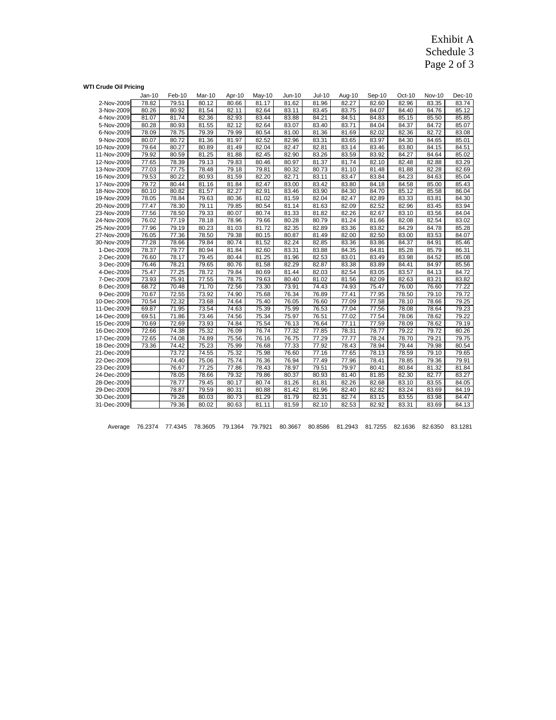Exhibit A Schedule 3 Page 2 of 3

### **WTI Crude Oil Pricing**

|             | $Jan-10$ | Feb-10 | Mar-10 | Apr-10 | $May-10$ | Jun-10 | <b>Jul-10</b> | Aug-10 | Sep-10 | Oct-10 | <b>Nov-10</b> | Dec-10 |
|-------------|----------|--------|--------|--------|----------|--------|---------------|--------|--------|--------|---------------|--------|
| 2-Nov-2009  | 78.82    | 79.51  | 80.12  | 80.66  | 81.17    | 81.62  | 81.96         | 82.27  | 82.60  | 82.96  | 83.35         | 83.74  |
| 3-Nov-2009  | 80.26    | 80.92  | 81.54  | 82.11  | 82.64    | 83.11  | 83.45         | 83.75  | 84.07  | 84.40  | 84.76         | 85.12  |
| 4-Nov-2009  | 81.07    | 81.74  | 82.36  | 82.93  | 83.44    | 83.88  | 84.21         | 84.51  | 84.83  | 85.15  | 85.50         | 85.85  |
| 5-Nov-2009  | 80.28    | 80.93  | 81.55  | 82.12  | 82.64    | 83.07  | 83.40         | 83.71  | 84.04  | 84.37  | 84.72         | 85.07  |
| 6-Nov-2009  | 78.09    | 78.75  | 79.39  | 79.99  | 80.54    | 81.00  | 81.36         | 81.69  | 82.02  | 82.36  | 82.72         | 83.08  |
| 9-Nov-2009  | 80.07    | 80.72  | 81.36  | 81.97  | 82.52    | 82.96  | 83.31         | 83.65  | 83.97  | 84.30  | 84.65         | 85.01  |
| 10-Nov-2009 | 79.64    | 80.27  | 80.89  | 81.49  | 82.04    | 82.47  | 82.81         | 83.14  | 83.46  | 83.80  | 84.15         | 84.51  |
| 11-Nov-2009 | 79.92    | 80.59  | 81.25  | 81.88  | 82.45    | 82.90  | 83.26         | 83.59  | 83.92  | 84.27  | 84.64         | 85.02  |
| 12-Nov-2009 | 77.65    | 78.39  | 79.13  | 79.83  | 80.46    | 80.97  | 81.37         | 81.74  | 82.10  | 82.48  | 82.88         | 83.29  |
| 13-Nov-2009 | 77.03    | 77.75  | 78.48  | 79.18  | 79.81    | 80.32  | 80.73         | 81.10  | 81.48  | 81.88  | 82.28         | 82.69  |
| 16-Nov-2009 | 79.53    | 80.22  | 80.93  | 81.59  | 82.20    | 82.71  | 83.11         | 83.47  | 83.84  | 84.23  | 84.63         | 85.04  |
| 17-Nov-2009 | 79.72    | 80.44  | 81.16  | 81.84  | 82.47    | 83.00  | 83.42         | 83.80  | 84.18  | 84.58  | 85.00         | 85.43  |
| 18-Nov-2009 | 80.10    | 80.82  | 81.57  | 82.27  | 82.91    | 83.46  | 83.90         | 84.30  | 84.70  | 85.12  | 85.58         | 86.04  |
| 19-Nov-2009 | 78.05    | 78.84  | 79.63  | 80.36  | 81.02    | 81.59  | 82.04         | 82.47  | 82.89  | 83.33  | 83.81         | 84.30  |
| 20-Nov-2009 | 77.47    | 78.30  | 79.11  | 79.85  | 80.54    | 81.14  | 81.63         | 82.09  | 82.52  | 82.96  | 83.45         | 83.94  |
| 23-Nov-2009 | 77.56    | 78.50  | 79.33  | 80.07  | 80.74    | 81.33  | 81.82         | 82.26  | 82.67  | 83.10  | 83.56         | 84.04  |
| 24-Nov-2009 | 76.02    | 77.19  | 78.18  | 78.96  | 79.66    | 80.28  | 80.79         | 81.24  | 81.66  | 82.08  | 82.54         | 83.02  |
| 25-Nov-2009 | 77.96    | 79.19  | 80.23  | 81.03  | 81.72    | 82.35  | 82.89         | 83.36  | 83.82  | 84.29  | 84.78         | 85.28  |
| 27-Nov-2009 | 76.05    | 77.36  | 78.50  | 79.38  | 80.15    | 80.87  | 81.49         | 82.00  | 82.50  | 83.00  | 83.53         | 84.07  |
| 30-Nov-2009 | 77.28    | 78.66  | 79.84  | 80.74  | 81.52    | 82.24  | 82.85         | 83.36  | 83.86  | 84.37  | 84.91         | 85.46  |
| 1-Dec-2009  | 78.37    | 79.77  | 80.94  | 81.84  | 82.60    | 83.31  | 83.88         | 84.35  | 84.81  | 85.28  | 85.79         | 86.31  |
| 2-Dec-2009  | 76.60    | 78.17  | 79.45  | 80.44  | 81.25    | 81.96  | 82.53         | 83.01  | 83.49  | 83.98  | 84.52         | 85.08  |
| 3-Dec-2009  | 76.46    | 78.21  | 79.65  | 80.76  | 81.58    | 82.29  | 82.87         | 83.38  | 83.89  | 84.41  | 84.97         | 85.56  |
| 4-Dec-2009  | 75.47    | 77.25  | 78.72  | 79.84  | 80.69    | 81.44  | 82.03         | 82.54  | 83.05  | 83.57  | 84.13         | 84.72  |
| 7-Dec-2009  | 73.93    | 75.91  | 77.55  | 78.75  | 79.63    | 80.40  | 81.02         | 81.56  | 82.09  | 82.63  | 83.21         | 83.82  |
| 8-Dec-2009  | 68.72    | 70.48  | 71.70  | 72.56  | 73.30    | 73.91  | 74.43         | 74.93  | 75.47  | 76.00  | 76.60         | 77.22  |
| 9-Dec-2009  | 70.67    | 72.55  | 73.92  | 74.90  | 75.68    | 76.34  | 76.89         | 77.41  | 77.95  | 78.50  | 79.10         | 79.72  |
| 10-Dec-2009 | 70.54    | 72.32  | 73.68  | 74.64  | 75.40    | 76.05  | 76.60         | 77.09  | 77.58  | 78.10  | 78.66         | 79.25  |
| 11-Dec-2009 | 69.87    | 71.95  | 73.54  | 74.63  | 75.39    | 75.99  | 76.53         | 77.04  | 77.56  | 78.08  | 78.64         | 79.23  |
| 14-Dec-2009 | 69.51    | 71.86  | 73.46  | 74.56  | 75.34    | 75.97  | 76.51         | 77.02  | 77.54  | 78.06  | 78.62         | 79.22  |
| 15-Dec-2009 | 70.69    | 72.69  | 73.93  | 74.84  | 75.54    | 76.13  | 76.64         | 77.11  | 77.59  | 78.09  | 78.62         | 79.19  |
| 16-Dec-2009 | 72.66    | 74.38  | 75.32  | 76.09  | 76.74    | 77.32  | 77.85         | 78.31  | 78.77  | 79.22  | 79.72         | 80.26  |
| 17-Dec-2009 | 72.65    | 74.08  | 74.89  | 75.56  | 76.16    | 76.75  | 77.29         | 77.77  | 78.24  | 78.70  | 79.21         | 79.75  |
| 18-Dec-2009 | 73.36    | 74.42  | 75.23  | 75.99  | 76.68    | 77.33  | 77.92         | 78.43  | 78.94  | 79.44  | 79.98         | 80.54  |
| 21-Dec-2009 |          | 73.72  | 74.55  | 75.32  | 75.98    | 76.60  | 77.16         | 77.65  | 78.13  | 78.59  | 79.10         | 79.65  |
| 22-Dec-2009 |          | 74.40  | 75.06  | 75.74  | 76.36    | 76.94  | 77.49         | 77.96  | 78.41  | 78.85  | 79.36         | 79.91  |
| 23-Dec-2009 |          | 76.67  | 77.25  | 77.86  | 78.43    | 78.97  | 79.51         | 79.97  | 80.41  | 80.84  | 81.32         | 81.84  |
| 24-Dec-2009 |          | 78.05  | 78.66  | 79.32  | 79.86    | 80.37  | 80.93         | 81.40  | 81.85  | 82.30  | 82.77         | 83.27  |
| 28-Dec-2009 |          | 78.77  | 79.45  | 80.17  | 80.74    | 81.26  | 81.81         | 82.26  | 82.68  | 83.10  | 83.55         | 84.05  |
| 29-Dec-2009 |          | 78.87  | 79.59  | 80.31  | 80.88    | 81.42  | 81.96         | 82.40  | 82.82  | 83.24  | 83.69         | 84.19  |
| 30-Dec-2009 |          | 79.28  | 80.03  | 80.73  | 81.29    | 81.79  | 82.31         | 82.74  | 83.15  | 83.55  | 83.98         | 84.47  |
| 31-Dec-2009 |          | 79.36  | 80.02  | 80.63  | 81.11    | 81.59  | 82.10         | 82.53  | 82.92  | 83.31  | 83.69         | 84.13  |

| Average 76.2374 77.4345 78.3605 79.1364 79.7921 80.3667 80.8586 81.2943 81.7255 82.1636 82.6350 83.1281 |  |
|---------------------------------------------------------------------------------------------------------|--|
|---------------------------------------------------------------------------------------------------------|--|